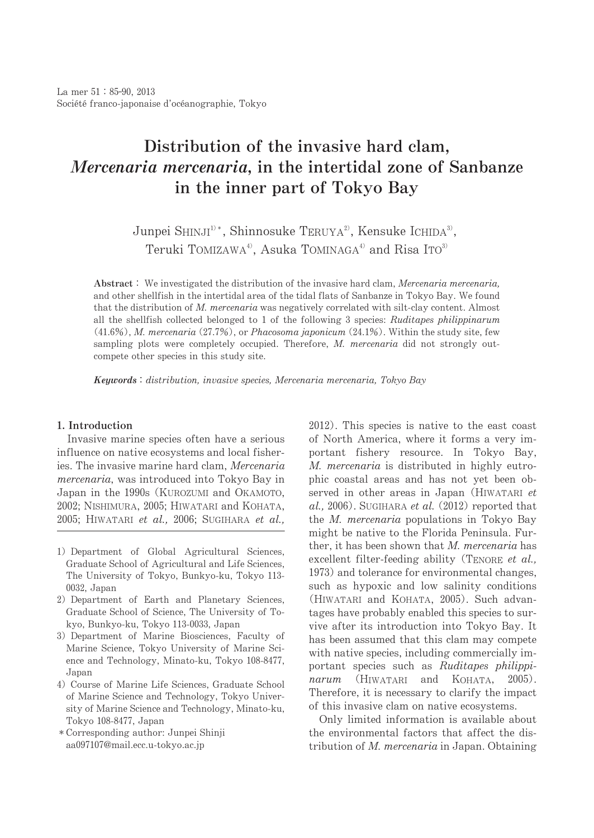# Distribution of the invasive hard clam, Mercenaria mercenaria, in the intertidal zone of Sanbanze in the inner part of Tokyo Bay

Junpei SHINJI<sup>1)</sup>\*, Shinnosuke TERUYA<sup>2</sup>, Kensuke ICHIDA<sup>3</sup>, Teruki TOMIZAWA<sup>4)</sup>, Asuka TOMINAGA<sup>4)</sup> and Risa ITO<sup>3)</sup>

Abstract: We investigated the distribution of the invasive hard clam, Mercenaria mercenaria, and other shellfish in the intertidal area of the tidal flats of Sanbanze in Tokyo Bay. We found that the distribution of M. mercenaria was negatively correlated with silt-clay content. Almost all the shellfish collected belonged to 1 of the following 3 species: Ruditapes philippinarum  $(41.6\%)$ , M. mercenaria  $(27.7\%)$ , or Phacosoma japonicum  $(24.1\%)$ . Within the study site, few sampling plots were completely occupied. Therefore, M. mercenaria did not strongly outcompete other species in this study site.

Keywords: distribution, invasive species, Mercenaria mercenaria, Tokyo Bay

## 1. Introduction

Invasive marine species often have a serious influence on native ecosystems and local fisheries. The invasive marine hard clam. *Mercenaria* mercenaria, was introduced into Tokyo Bay in Japan in the 1990s (KUROZUMI and OKAMOTO, 2002; NISHIMURA, 2005; HIWATARI and KOHATA, 2005; HIWATARI et al., 2006; SUGIHARA et al.,

- 1) Department of Global Agricultural Sciences, Graduate School of Agricultural and Life Sciences, The University of Tokyo, Bunkyo-ku, Tokyo 113-0032, Japan
- 2) Department of Earth and Planetary Sciences, Graduate School of Science, The University of Tokyo, Bunkyo-ku, Tokyo 113-0033, Japan
- 3) Department of Marine Biosciences, Faculty of Marine Science, Tokyo University of Marine Science and Technology, Minato-ku, Tokyo 108-8477, Japan
- 4) Course of Marine Life Sciences, Graduate School of Marine Science and Technology, Tokyo University of Marine Science and Technology, Minato-ku, Tokyo 108-8477, Japan
- \* Corresponding author: Junpei Shinji aa097107@mail.ecc.u-tokyo.ac.jp

 $2012$ ). This species is native to the east coast of North America, where it forms a very important fishery resource. In Tokyo Bay, M. mercenaria is distributed in highly eutrophic coastal areas and has not yet been observed in other areas in Japan (HIWATARI et  $al., 2006$ ). SUGIHARA et al. (2012) reported that the *M. mercenaria* populations in Tokyo Bay might be native to the Florida Peninsula. Further, it has been shown that M. mercenaria has excellent filter-feeding ability (TENORE et al., 1973) and tolerance for environmental changes, such as hypoxic and low salinity conditions (HIWATARI and KOHATA, 2005). Such advantages have probably enabled this species to survive after its introduction into Tokyo Bay. It has been assumed that this clam may compete with native species, including commercially important species such as Ruditapes philippinarum (HIWATARI and KOHATA, 2005). Therefore, it is necessary to clarify the impact of this invasive clam on native ecosystems.

Only limited information is available about the environmental factors that affect the distribution of M. mercenaria in Japan. Obtaining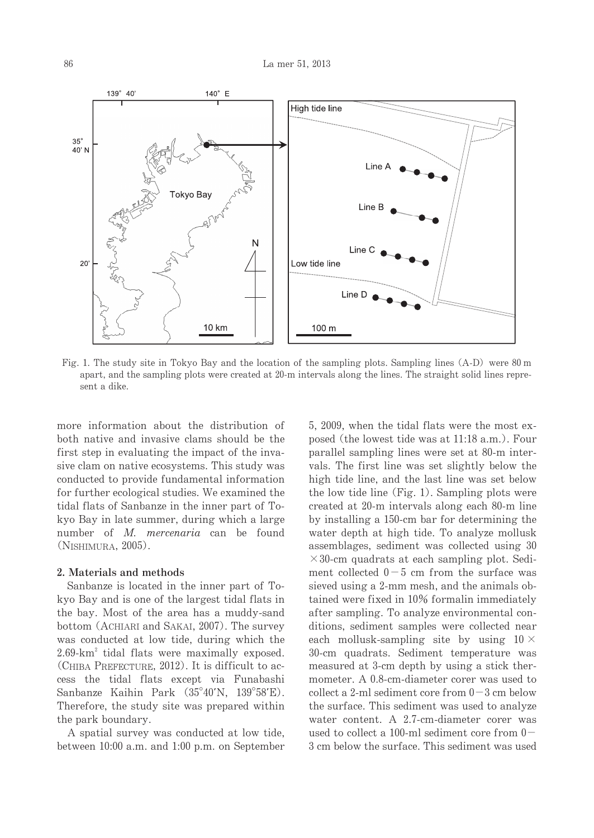

Fig. 1. The study site in Tokyo Bay and the location of the sampling plots. Sampling lines (A-D) were 80 m apart, and the sampling plots were created at 20-m intervals along the lines. The straight solid lines represent a dike.

more information about the distribution of both native and invasive clams should be the first step in evaluating the impact of the invasive clam on native ecosystems. This study was conducted to provide fundamental information for further ecological studies. We examined the tidal flats of Sanbanze in the inner part of Tokyo Bay in late summer, during which a large number of M. mercenaria can be found (NISHIMURA, 2005).

### 2. Materials and methods

Sanbanze is located in the inner part of Tokyo Bay and is one of the largest tidal flats in the bay. Most of the area has a muddy-sand bottom (ACHIARI and SAKAI, 2007). The survey was conducted at low tide, during which the  $2.69 \times$ km<sup>2</sup> tidal flats were maximally exposed. (CHIBA PREFECTURE,  $2012$ ). It is difficult to access the tidal flats except via Funabashi Sanbanze Kaihin Park (35°40'N, 139°58'E). Therefore, the study site was prepared within the park boundary.

A spatial survey was conducted at low tide, between 10:00 a.m. and 1:00 p.m. on September 5, 2009, when the tidal flats were the most exposed (the lowest tide was at 11:18 a.m.). Four parallel sampling lines were set at 80-m intervals. The first line was set slightly below the high tide line, and the last line was set below the low tide line  $(Fig. 1)$ . Sampling plots were created at 20-m intervals along each 80-m line by installing a 150-cm bar for determining the water depth at high tide. To analyze mollusk assemblages, sediment was collected using 30  $\times$ 30-cm quadrats at each sampling plot. Sediment collected  $0-5$  cm from the surface was sieved using a 2-mm mesh, and the animals obtained were fixed in 10% formalin immediately after sampling. To analyze environmental conditions, sediment samples were collected near each mollusk-sampling site by using  $10 \times$ 30-cm quadrats. Sediment temperature was measured at 3-cm depth by using a stick thermometer. A 0.8-cm-diameter corer was used to collect a 2-ml sediment core from  $0-3$  cm below the surface. This sediment was used to analyze water content. A 2.7-cm-diameter corer was used to collect a 100-ml sediment core from  $0-$ 3 cm below the surface. This sediment was used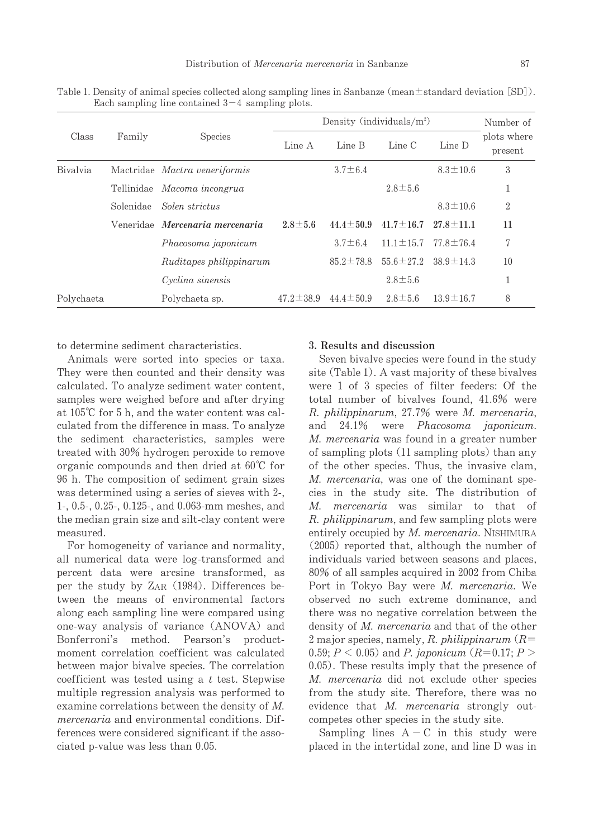|            | Family    | <b>Species</b>                  | Density (individuals/ $m^2$ ) |                 |                 |                 | Number of              |
|------------|-----------|---------------------------------|-------------------------------|-----------------|-----------------|-----------------|------------------------|
| Class      |           |                                 | Line A                        | Line B          | Line C          | Line D          | plots where<br>present |
| Bivalvia   |           | Mactridae Mactra veneriformis   |                               | $3.7 \pm 6.4$   |                 | $8.3 \pm 10.6$  | 3                      |
|            |           | Tellinidae Macoma incongrua     |                               |                 | $2.8 \pm 5.6$   |                 |                        |
|            | Solenidae | Solen strictus                  |                               |                 |                 | $8.3 \pm 10.6$  | $\overline{2}$         |
|            |           | Veneridae Mercenaria mercenaria | $2.8 \pm 5.6$                 | $44.4 \pm 50.9$ | $41.7 \pm 16.7$ | $27.8 \pm 11.1$ | 11                     |
|            |           | Phacosoma japonicum             |                               | $3.7 \pm 6.4$   | $11.1 \pm 15.7$ | $77.8 \pm 76.4$ | 7                      |
|            |           | Ruditapes philippinarum         |                               | $85.2 \pm 78.8$ | $55.6 \pm 27.2$ | $38.9 \pm 14.3$ | 10                     |
|            |           | Cyclina sinensis                |                               |                 | $2.8 \pm 5.6$   |                 |                        |
| Polychaeta |           | Polychaeta sp.                  | $47.2 \pm 38.9$               | $44.4 \pm 50.9$ | $2.8 \pm 5.6$   | $13.9 \pm 16.7$ | 8                      |

Table 1. Density of animal species collected along sampling lines in Sanbanze (mean $\pm$ standard deviation [SD]). Each sampling line contained  $3-4$  sampling plots.

to determine sediment characteristics.

Animals were sorted into species or taxa. They were then counted and their density was calculated. To analyze sediment water content, samples were weighed before and after drying at  $105^{\circ}$ C for 5 h, and the water content was calculated from the difference in mass. To analyze the sediment characteristics, samples were treated with 30% hydrogen peroxide to remove organic compounds and then dried at  $60^{\circ}$ C for 96 h. The composition of sediment grain sizes was determined using a series of sieves with 2-, 1-,0.5-,0.25-,0.125-,and0.063-mm meshes,and the median grain size and silt-clay content were measured.

For homogeneity of variance and normality, all numerical data were log-transformed and percent data were arcsine transformed, as per the study by ZAR (1984). Differences between the means of environmental factors along each sampling line were compared using one-way analysis of variance (ANOVA) and Bonferroni's method. Pearson's productmoment correlation coefficient was calculated between major bivalve species. The correlation coefficient was tested using a  $t$  test. Stepwise multiple regression analysis was performed to examine correlations between the density of M. mercenaria and environmental conditions. Differences were considered significant if the associated p-value was less than  $0.05$ .

#### 3. Results and discussion

Seven bivalve species were found in the study site (Table 1). A vast majority of these bivalves were 1 of 3 species of filter feeders: Of the total number of bivalves found,  $41.6\%$  were R. philippinarum, 27.7% were M. mercenaria, and 24.1% were Phacosoma japonicum. M. mercenaria was found in a greater number of sampling plots (11 sampling plots) than any of the other species. Thus, the invasive clam, M. mercenaria, was one of the dominant species in the study site.The distribution of M. mercenaria was similar to that of R. philippinarum, and few sampling plots were entirely occupied by  $M$ . mercenaria. NISHIMURA  $(2005)$  reported that, although the number of individuals varied between seasons and places, 80% of all samples acquired in 2002 from Chiba Port in Tokyo Bay were M. mercenaria. We observed no such extreme dominance, and there was no negative correlation between the density of M. mercenaria and that of the other 2 major species, namely, R. philippinarum  $(R=$ 0.59;  $P < 0.05$ ) and P. japonicum (R=0.17; P >  $0.05$ ). These results imply that the presence of M. mercenaria did not exclude other species from the study site. Therefore, there was no evidence that  $M$ . mercenaria strongly outcompetes other species in the study site.

Sampling lines  $A - C$  in this study were placed in the intertidal zone, and line D was in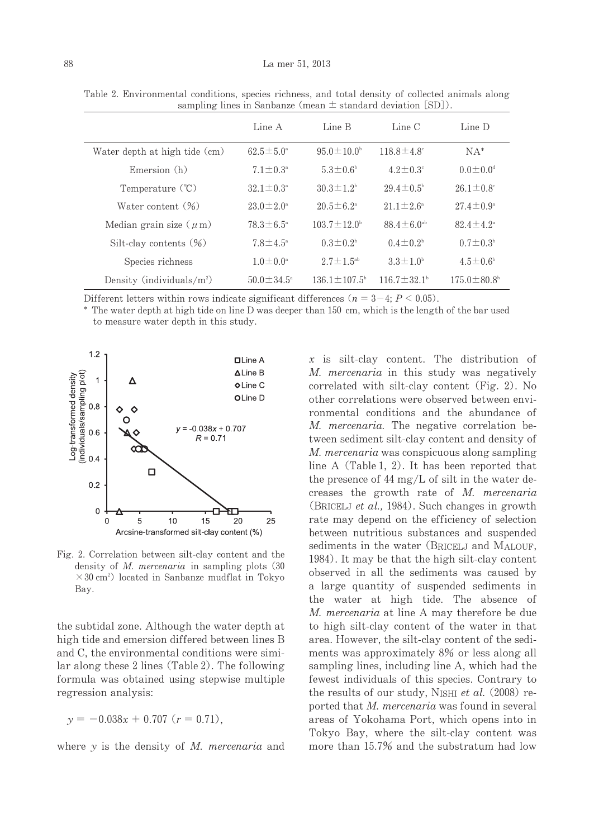|                               | Line A                  | Line B                    | Line C                       | Line D                      |
|-------------------------------|-------------------------|---------------------------|------------------------------|-----------------------------|
| Water depth at high tide (cm) | $62.5 \pm 5.0^{\circ}$  | $95.0 \pm 10.0^{\circ}$   | $118.8 \pm 4.8$ <sup>c</sup> | $NA^*$                      |
| Emersion (h)                  | $7.1 \pm 0.3^{\circ}$   | $5.3 \pm 0.6^{\circ}$     | $4.2 \pm 0.3^{\circ}$        | $0.0 \pm 0.0$ <sup>d</sup>  |
| Temperature (°C)              | $32.1 \pm 0.3^{\circ}$  | $30.3 \pm 1.2^{\circ}$    | $29.4 \pm 0.5^{\circ}$       | $26.1 \pm 0.8$ <sup>c</sup> |
| Water content $(\%)$          | $23.0 \pm 2.0^{\circ}$  | $20.5 \pm 6.2^{\circ}$    | $21.1 \pm 2.6^{\circ}$       | $27.4 \pm 0.9^{\circ}$      |
| Median grain size $(\mu m)$   | $78.3 \pm 6.5^{\circ}$  | $103.7 \pm 12.0^{\circ}$  | 88.4 $\pm$ 6.0 <sup>ab</sup> | $82.4 \pm 4.2^{\circ}$      |
| Silt-clay contents $(\%)$     | $7.8 \pm 4.5^{\circ}$   | $0.3 \pm 0.2^{\circ}$     | $0.4 \pm 0.2^{\circ}$        | $0.7 \pm 0.3^{\circ}$       |
| Species richness              | $1.0 \pm 0.0^{\circ}$   | $2.7 \pm 1.5^{ab}$        | $3.3 \pm 1.0^{\circ}$        | $4.5 \pm 0.6^{\circ}$       |
| Density (individuals/ $m^2$ ) | $50.0 \pm 34.5^{\circ}$ | $136.1 \pm 107.5^{\circ}$ | $116.7 \pm 32.1^{\circ}$     | $175.0 \pm 80.8^{\circ}$    |

Table 2. Environmental conditions, species richness, and total density of collected animals along sampling lines in Sanbanze (mean  $\pm$  standard deviation [SD]).

Different letters within rows indicate significant differences ( $n = 3-4$ ;  $P < 0.05$ ).

\* The water depth at high tide on line D was deeper than 150 cm, which is the length of the bar used to measure water depth in this study.



Fig. 2. Correlation between silt-clay content and the density of  $M$ . *mercenaria* in sampling plots  $(30)$  $\times$  30 cm<sup>2</sup>) located in Sanbanze mudflat in Tokyo Bay.

the subtidal zone. Although the water depth at high tide and emersion differed between lines B and C, the environmental conditions were similar along these 2 lines (Table 2). The following formula was obtained using stepwise multiple regression analysis:

 $y = -0.038x + 0.707$  ( $r = 0.71$ ).

where  $y$  is the density of M. mercenaria and

 $x$  is silt-clay content. The distribution of M. mercenaria in this study was negatively correlated with silt-clay content (Fig. 2). No other correlations were observed between environmental conditions and the abundance of M. mercenaria. The negative correlation between sediment silt-clay content and density of M. mercenaria was conspicuous along sampling line A  $(Table 1, 2)$ . It has been reported that the presence of 44 mg/L of silt in the water decreases the growth rate of  $M$ . mercenaria (BRICELJ et al., 1984). Such changes in growth rate may depend on the efficiency of selection between nutritious substances and suspended sediments in the water (BRICELJ and MALOUF, 1984). It may be that the high silt-clay content observed in all the sediments was caused by a large quantity of suspended sediments in the water at high tide. The absence of M. mercenaria at line A may therefore be due to high silt-clay content of the water in that area. However, the silt-clay content of the sediments was approximately 8% or less along all sampling lines, including line A, which had the fewest individuals of this species. Contrary to the results of our study, NISHI et al. (2008) reported that M. mercenaria was found in several areas of Yokohama Port, which opens into in Tokyo Bay, where the silt-clay content was more than 15.7% and the substratum had low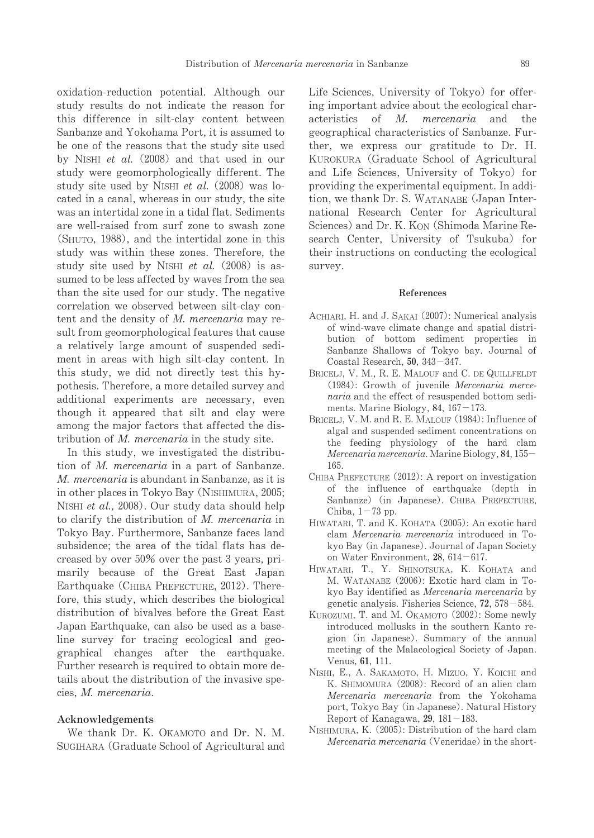oxidation-reduction potential.Although our study results do not indicate the reason for this difference in silt-clay content between Sanbanze and Yokohama Port, it is assumed to be one of the reasons that the study site used by NISHI et al.  $(2008)$  and that used in our study were geomorphologically different. The study site used by NISHI et al. (2008) was located in a canal, whereas in our study, the site was an intertidal zone in a tidal flat. Sediments are well-raised from surf zone to swash zone (SHUTO, 1988), and the intertidal zone in this study was within these zones. Therefore, the study site used by NISHI et al.  $(2008)$  is assumed to be less affected by waves from the sea than the site used for our study. The negative correlation we observed between silt-clay content and the density of  $M$ . mercenaria may result from geomorphological features that cause a relatively large amount of suspended sediment in areas with high silt-clay content. In this study, we did not directly test this hypothesis. Therefore, a more detailed survey and additional experiments are necessary, even though it appeared that silt and clay were among the major factors that affected the distribution of  $M$ . mercenaria in the study site.

In this study, we investigated the distribution of *M. mercenaria* in a part of Sanbanze. M. mercenaria is abundant in Sanbanze, as it is in other places in Tokyo Bay (NISHIMURA, 2005; NISHI et al., 2008). Our study data should help to clarify the distribution of  $M$ . mercenaria in Tokyo Bay. Furthermore, Sanbanze faces land subsidence; the area of the tidal flats has decreased by over 50% over the past 3 years, primarily because of the Great East Japan Earthquake (CHIBA PREFECTURE, 2012). Therefore, this study, which describes the biological distribution of bivalves before the Great East Japan Earthquake, can also be used as a baseline survey for tracing ecological and geographical changes after the earthquake. Further research is required to obtain more details about the distribution of the invasive species,M.mercenaria.

#### Acknowledgements

We thank Dr. K. OKAMOTO and Dr. N. M. SUGIHARA (Graduate School of Agricultural and Life Sciences, University of Tokyo) for offering important advice about the ecological characteristics of M. mercenaria and the geographical characteristics of Sanbanze. Further, we express our gratitude to Dr. H. KUROKURA (Graduate School of Agricultural and Life Sciences, University of Tokyo) for providing the experimental equipment. In addition, we thank Dr. S. WATANABE (Japan International Research Center for Agricultural Sciences) and Dr. K. KON (Shimoda Marine Research Center, University of Tsukuba) for their instructions on conducting the ecological survey.

#### References

- ACHIARI, H. and J. SAKAI (2007): Numerical analysis of wind-wave climate change and spatial distribution of bottom sediment properties in Sanbanze Shallows of Tokyo bay. Journal of Coastal Research,  $50$ ,  $343-347$ .
- BRICELJ, V. M., R. E. MALOUF and C. DE QUILLFELDT  $(1984)$ : Growth of juvenile Mercenaria mercenaria and the effect of resuspended bottom sediments. Marine Biology, 84,  $167-173$ .
- BRICELJ, V. M. and R. E. MALOUF (1984): Influence of algal and suspended sediment concentrations on the feeding physiology of the hard clam  $Mercenaria mercenaria$ . Marine Biology, 84, 155-165.
- CHIBA PREFECTURE  $(2012)$ : A report on investigation of the influence of earthquake(depth in Sanbanze) (in Japanese). CHIBA PREFECTURE, Chiba,  $1-73$  pp.
- HIWATARI, T. and K. KOHATA (2005): An exotic hard clam Mercenaria mercenaria introduced in Tokyo Bay (in Japanese). Journal of Japan Society on Water Environment,  $28,614-617$ .
- HIWATARI, T., Y. SHINOTSUKA, K. KOHATA and M. WATANABE (2006): Exotic hard clam in Tokyo Bay identified as *Mercenaria mercenaria* by genetic analysis. Fisheries Science,  $72$ ,  $578-584$ .
- KUROZUMI, T. and M. OKAMOTO (2002): Some newly introduced mollusks in the southern Kanto region (in Japanese). Summary of the annual meeting of the Malacological Society of Japan. Venus, 61, 111.
- NISHI, E., A. SAKAMOTO, H. MIZUO, Y. KOICHI and K. SHIMOMURA (2008): Record of an alien clam Mercenaria mercenaria from the Yokohama port, Tokyo Bay (in Japanese). Natural History Report of Kanagawa,  $29$ ,  $181-183$ .
- NISHIMURA, K. (2005): Distribution of the hard clam Mercenaria mercenaria (Veneridae) in the short-